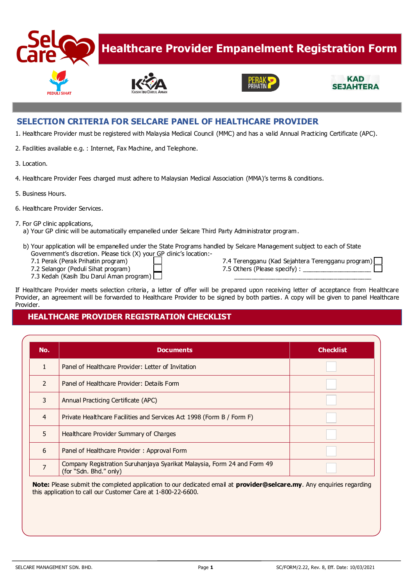

# **Healthcare Provider Empanelment Registration Form**







#### **SELECTION CRITERIA FOR SELCARE PANEL OF HEALTHCARE PROVIDER**

- 1. Healthcare Provider must be registered with Malaysia Medical Council (MMC) and has a valid Annual Practicing Certificate (APC).
- 2. Facilities available e.g. : Internet, Fax Machine, and Telephone.
- 3. Location.
- 4. Healthcare Provider Fees charged must adhere to Malaysian Medical Association (MMA)'s terms & conditions.
- 5. Business Hours.
- 6. Healthcare Provider Services.
- 7. For GP clinic applications,
	- a) Your GP clinic will be automatically empanelled under Selcare Third Party Administrator program.
	- b) Your application will be empanelled under the State Programs handled by Selcare Management subject to each of State Government's discretion. Please tick (X) your GP clinic's location:-
		-
		- 7.2 Selangor (Peduli Sihat program)  $\Box$  7.5 Others (Please specify) :
		- 7.3 Kedah (Kasih Ibu Darul Aman program)
		- 7.1 Perak (Perak Prihatin program) 7.4 Terengganu (Kad Sejahtera Terengganu program)
			-

If Healthcare Provider meets selection criteria, a letter of offer will be prepared upon receiving letter of acceptance from Healthcare Provider, an agreement will be forwarded to Healthcare Provider to be signed by both parties. A copy will be given to panel Healthcare Provider.

#### **HEALTHCARE PROVIDER REGISTRATION CHECKLIST**

| No.            | <b>Documents</b>                                                                                  | <b>Checklist</b> |
|----------------|---------------------------------------------------------------------------------------------------|------------------|
|                | Panel of Healthcare Provider: Letter of Invitation                                                |                  |
| $\overline{2}$ | Panel of Healthcare Provider: Details Form                                                        |                  |
| 3              | Annual Practicing Certificate (APC)                                                               |                  |
| $\overline{4}$ | Private Healthcare Facilities and Services Act 1998 (Form B / Form F)                             |                  |
| 5              | Healthcare Provider Summary of Charges                                                            |                  |
| 6              | Panel of Healthcare Provider: Approval Form                                                       |                  |
| $\overline{7}$ | Company Registration Suruhanjaya Syarikat Malaysia, Form 24 and Form 49<br>(for "Sdn. Bhd." only) |                  |

**Note:** Please submit the completed application to our dedicated email at **provider@selcare.my**. Any enquiries regarding this application to call our Customer Care at 1-800-22-6600.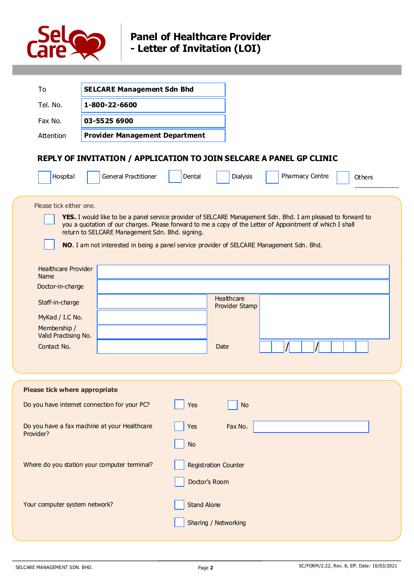

## **Panel of Healthcare Provider - Letter of Invitation (LOI)**

| To                                                                                                                                                                             | <b>SELCARE Management Sdn Bhd</b>                                                                                                                                                                                                                                                                                                                                        |                                              |                                             |                 |        |
|--------------------------------------------------------------------------------------------------------------------------------------------------------------------------------|--------------------------------------------------------------------------------------------------------------------------------------------------------------------------------------------------------------------------------------------------------------------------------------------------------------------------------------------------------------------------|----------------------------------------------|---------------------------------------------|-----------------|--------|
| Tel. No.                                                                                                                                                                       | 1-800-22-6600                                                                                                                                                                                                                                                                                                                                                            |                                              |                                             |                 |        |
| Fax No.                                                                                                                                                                        | 03-5525 6900                                                                                                                                                                                                                                                                                                                                                             |                                              |                                             |                 |        |
| Attention                                                                                                                                                                      | <b>Provider Management Department</b>                                                                                                                                                                                                                                                                                                                                    |                                              |                                             |                 |        |
| Hospital                                                                                                                                                                       | REPLY OF INVITATION / APPLICATION TO JOIN SELCARE A PANEL GP CLINIC<br><b>General Practitioner</b>                                                                                                                                                                                                                                                                       | Dental                                       | <b>Dialysis</b>                             | Pharmacy Centre | Others |
|                                                                                                                                                                                |                                                                                                                                                                                                                                                                                                                                                                          |                                              |                                             |                 |        |
| Please tick either one.<br><b>Healthcare Provider</b><br>Name<br>Doctor-in-charge<br>Staff-in-charge<br>MyKad / I.C No.<br>Membership /<br>Valid Practising No.<br>Contact No. | YES. I would like to be a panel service provider of SELCARE Management Sdn. Bhd. I am pleased to forward to<br>you a quotation of our charges. Please forward to me a copy of the Letter of Appointment of which I shall<br>return to SELCARE Management Sdn. Bhd. signing.<br>NO. I am not interested in being a panel service provider of SELCARE Management Sdn. Bhd. |                                              | <b>Healthcare</b><br>Provider Stamp<br>Date |                 |        |
| Please tick where appropriate                                                                                                                                                  |                                                                                                                                                                                                                                                                                                                                                                          |                                              |                                             |                 |        |
|                                                                                                                                                                                | Do you have internet connection for your PC?                                                                                                                                                                                                                                                                                                                             | Yes                                          | <b>No</b>                                   |                 |        |
| Do you have a fax machine at your Healthcare<br>Provider?                                                                                                                      |                                                                                                                                                                                                                                                                                                                                                                          | Yes<br><b>No</b>                             | Fax No.                                     |                 |        |
| Where do you station your computer terminal?                                                                                                                                   |                                                                                                                                                                                                                                                                                                                                                                          | <b>Registration Counter</b><br>Doctor's Room |                                             |                 |        |
| Your computer system network?                                                                                                                                                  |                                                                                                                                                                                                                                                                                                                                                                          | <b>Stand Alone</b><br>Sharing / Networking   |                                             |                 |        |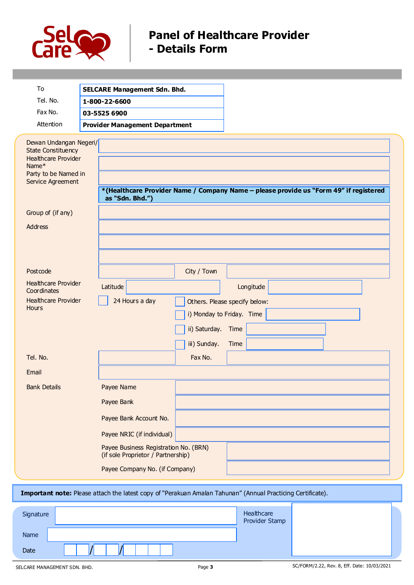

## **Panel of Healthcare Provider - Details Form**

| To<br>Tel. No.<br>Fax No.<br>Attention                                                                                                              | <b>SELCARE Management Sdn. Bhd.</b><br>1-800-22-6600<br>03-5525 6900<br><b>Provider Management Department</b>                                          |
|-----------------------------------------------------------------------------------------------------------------------------------------------------|--------------------------------------------------------------------------------------------------------------------------------------------------------|
| Dewan Undangan Negeri/<br><b>State Constituency</b><br><b>Healthcare Provider</b><br>Name <sup>*</sup><br>Party to be Named in<br>Service Agreement | *(Healthcare Provider Name / Company Name - please provide us "Form 49" if registered<br>as "Sdn. Bhd.")                                               |
| Group of (if any)                                                                                                                                   |                                                                                                                                                        |
| Address                                                                                                                                             |                                                                                                                                                        |
| Postcode                                                                                                                                            | City / Town                                                                                                                                            |
| <b>Healthcare Provider</b><br>Coordinates<br><b>Healthcare Provider</b><br><b>Hours</b>                                                             | Latitude<br>Longitude<br>24 Hours a day<br>Others. Please specify below:<br>i) Monday to Friday. Time<br>ii) Saturday.<br>Time<br>iii) Sunday.<br>Time |
| Tel. No.                                                                                                                                            | Fax No.                                                                                                                                                |
| Email                                                                                                                                               |                                                                                                                                                        |
| <b>Bank Details</b>                                                                                                                                 | Payee Name                                                                                                                                             |
|                                                                                                                                                     | Payee Bank                                                                                                                                             |
|                                                                                                                                                     | Payee Bank Account No.                                                                                                                                 |
|                                                                                                                                                     | Payee NRIC (if individual)                                                                                                                             |
|                                                                                                                                                     | Payee Business Registration No. (BRN)<br>(if sole Proprietor / Partnership)                                                                            |
|                                                                                                                                                     | Payee Company No. (if Company)                                                                                                                         |

#### **Important note:** Please attach the latest copy of "Perakuan Amalan Tahunan" (Annual Practicing Certificate).

| Signature | Healthcare<br>Provider Stamp |
|-----------|------------------------------|
| Name      |                              |
| Date      |                              |